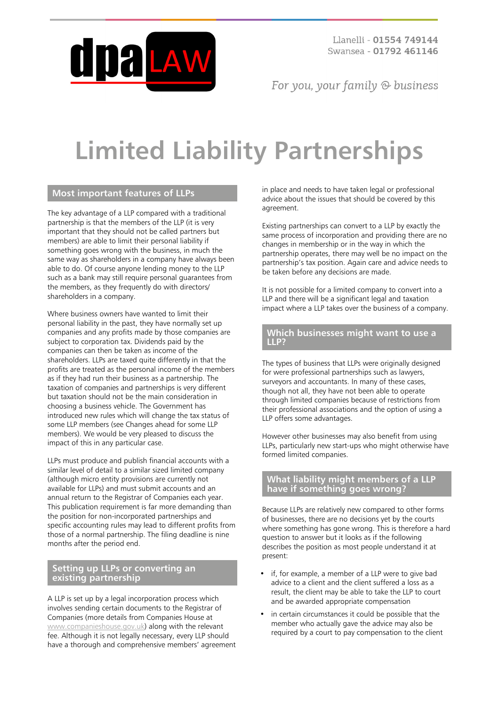

Llanelli - 01554 749144 Swansea - 01792 461146

For you, your family  $\odot$  business

# **Limited Liability Partnerships**

# **Most important features of LLPs**

The key advantage of a LLP compared with a traditional partnership is that the members of the LLP (it is very important that they should not be called partners but members) are able to limit their personal liability if something goes wrong with the business, in much the same way as shareholders in a company have always been able to do. Of course anyone lending money to the LLP such as a bank may still require personal guarantees from the members, as they frequently do with directors/ shareholders in a company.

Where business owners have wanted to limit their personal liability in the past, they have normally set up companies and any profits made by those companies are subject to corporation tax. Dividends paid by the companies can then be taken as income of the shareholders. LLPs are taxed quite differently in that the profits are treated as the personal income of the members as if they had run their business as a partnership. The taxation of companies and partnerships is very different but taxation should not be the main consideration in choosing a business vehicle. The Government has introduced new rules which will change the tax status of some LLP members (see Changes ahead for some LLP members). We would be very pleased to discuss the impact of this in any particular case.

LLPs must produce and publish financial accounts with a similar level of detail to a similar sized limited company (although micro entity provisions are currently not available for LLPs) and must submit accounts and an annual return to the Registrar of Companies each year. This publication requirement is far more demanding than the position for non-incorporated partnerships and specific accounting rules may lead to different profits from those of a normal partnership. The filing deadline is nine months after the period end.

## **Setting up LLPs or converting an existing partnership**

A LLP is set up by a legal incorporation process which involves sending certain documents to the Registrar of Companies (more details from Companies House at [www.companieshouse.gov.uk](http://www.companieshouse.gov.uk/)) along with the relevant fee. Although it is not legally necessary, every LLP should have a thorough and comprehensive members' agreement in place and needs to have taken legal or professional advice about the issues that should be covered by this agreement.

Existing partnerships can convert to a LLP by exactly the same process of incorporation and providing there are no changes in membership or in the way in which the partnership operates, there may well be no impact on the partnership's tax position. Again care and advice needs to be taken before any decisions are made.

It is not possible for a limited company to convert into a LLP and there will be a significant legal and taxation impact where a LLP takes over the business of a company.

#### **Which businesses might want to use a LLP?**

The types of business that LLPs were originally designed for were professional partnerships such as lawyers, surveyors and accountants. In many of these cases, though not all, they have not been able to operate through limited companies because of restrictions from their professional associations and the option of using a LLP offers some advantages.

However other businesses may also benefit from using LLPs, particularly new start-ups who might otherwise have formed limited companies.

#### **What liability might members of a LLP have if something goes wrong?**

Because LLPs are relatively new compared to other forms of businesses, there are no decisions yet by the courts where something has gone wrong. This is therefore a hard question to answer but it looks as if the following describes the position as most people understand it at present:

- if, for example, a member of a LLP were to give bad advice to a client and the client suffered a loss as a result, the client may be able to take the LLP to court and be awarded appropriate compensation
- in certain circumstances it could be possible that the member who actually gave the advice may also be required by a court to pay compensation to the client